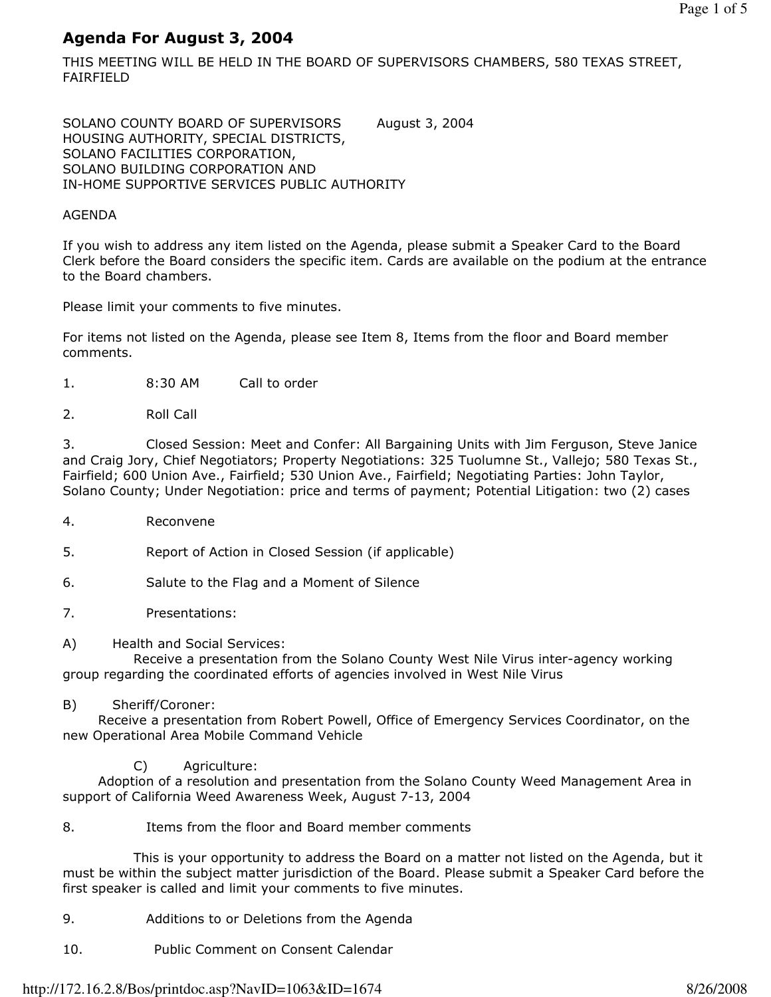# Agenda For August 3, 2004

THIS MEETING WILL BE HELD IN THE BOARD OF SUPERVISORS CHAMBERS, 580 TEXAS STREET, FAIRFIELD

SOLANO COUNTY BOARD OF SUPERVISORS August 3, 2004 HOUSING AUTHORITY, SPECIAL DISTRICTS, SOLANO FACILITIES CORPORATION, SOLANO BUILDING CORPORATION AND IN-HOME SUPPORTIVE SERVICES PUBLIC AUTHORITY

# AGENDA

If you wish to address any item listed on the Agenda, please submit a Speaker Card to the Board Clerk before the Board considers the specific item. Cards are available on the podium at the entrance to the Board chambers.

Please limit your comments to five minutes.

For items not listed on the Agenda, please see Item 8, Items from the floor and Board member comments.

- 1. 8:30 AM Call to order
- 2. Roll Call

3. Closed Session: Meet and Confer: All Bargaining Units with Jim Ferguson, Steve Janice and Craig Jory, Chief Negotiators; Property Negotiations: 325 Tuolumne St., Vallejo; 580 Texas St., Fairfield; 600 Union Ave., Fairfield; 530 Union Ave., Fairfield; Negotiating Parties: John Taylor, Solano County; Under Negotiation: price and terms of payment; Potential Litigation: two (2) cases

- 4. Reconvene
- 5. Report of Action in Closed Session (if applicable)
- 6. Salute to the Flag and a Moment of Silence
- 7. Presentations:
- A) Health and Social Services:

 Receive a presentation from the Solano County West Nile Virus inter-agency working group regarding the coordinated efforts of agencies involved in West Nile Virus

B) Sheriff/Coroner:

 Receive a presentation from Robert Powell, Office of Emergency Services Coordinator, on the new Operational Area Mobile Command Vehicle

C) Agriculture:

 Adoption of a resolution and presentation from the Solano County Weed Management Area in support of California Weed Awareness Week, August 7-13, 2004

8. Items from the floor and Board member comments

 This is your opportunity to address the Board on a matter not listed on the Agenda, but it must be within the subject matter jurisdiction of the Board. Please submit a Speaker Card before the first speaker is called and limit your comments to five minutes.

- 9. Additions to or Deletions from the Agenda
- 10. Public Comment on Consent Calendar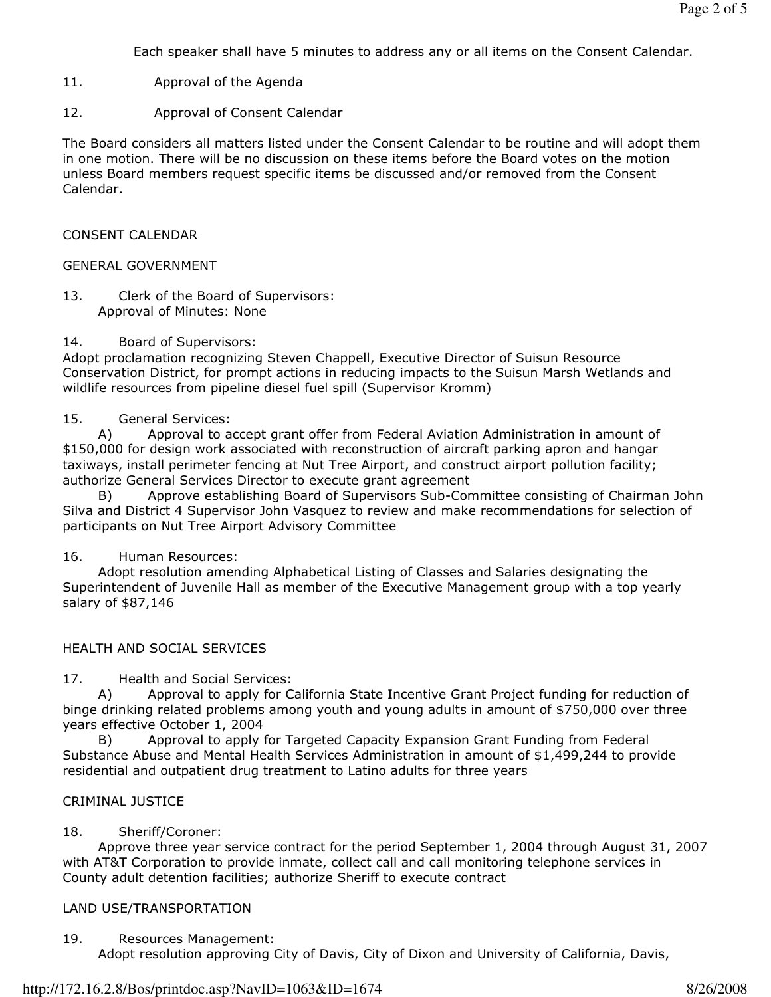Each speaker shall have 5 minutes to address any or all items on the Consent Calendar.

- 11. Approval of the Agenda
- 12. Approval of Consent Calendar

The Board considers all matters listed under the Consent Calendar to be routine and will adopt them in one motion. There will be no discussion on these items before the Board votes on the motion unless Board members request specific items be discussed and/or removed from the Consent Calendar.

### CONSENT CALENDAR

#### GENERAL GOVERNMENT

13. Clerk of the Board of Supervisors: Approval of Minutes: None

#### 14. Board of Supervisors:

Adopt proclamation recognizing Steven Chappell, Executive Director of Suisun Resource Conservation District, for prompt actions in reducing impacts to the Suisun Marsh Wetlands and wildlife resources from pipeline diesel fuel spill (Supervisor Kromm)

#### 15. General Services:

 A) Approval to accept grant offer from Federal Aviation Administration in amount of \$150,000 for design work associated with reconstruction of aircraft parking apron and hangar taxiways, install perimeter fencing at Nut Tree Airport, and construct airport pollution facility; authorize General Services Director to execute grant agreement

 B) Approve establishing Board of Supervisors Sub-Committee consisting of Chairman John Silva and District 4 Supervisor John Vasquez to review and make recommendations for selection of participants on Nut Tree Airport Advisory Committee

### 16. Human Resources:

 Adopt resolution amending Alphabetical Listing of Classes and Salaries designating the Superintendent of Juvenile Hall as member of the Executive Management group with a top yearly salary of \$87,146

### HEALTH AND SOCIAL SERVICES

17. Health and Social Services:

 A) Approval to apply for California State Incentive Grant Project funding for reduction of binge drinking related problems among youth and young adults in amount of \$750,000 over three years effective October 1, 2004

Approval to apply for Targeted Capacity Expansion Grant Funding from Federal Substance Abuse and Mental Health Services Administration in amount of \$1,499,244 to provide residential and outpatient drug treatment to Latino adults for three years

#### CRIMINAL JUSTICE

### 18. Sheriff/Coroner:

 Approve three year service contract for the period September 1, 2004 through August 31, 2007 with AT&T Corporation to provide inmate, collect call and call monitoring telephone services in County adult detention facilities; authorize Sheriff to execute contract

### LAND USE/TRANSPORTATION

19. Resources Management: Adopt resolution approving City of Davis, City of Dixon and University of California, Davis,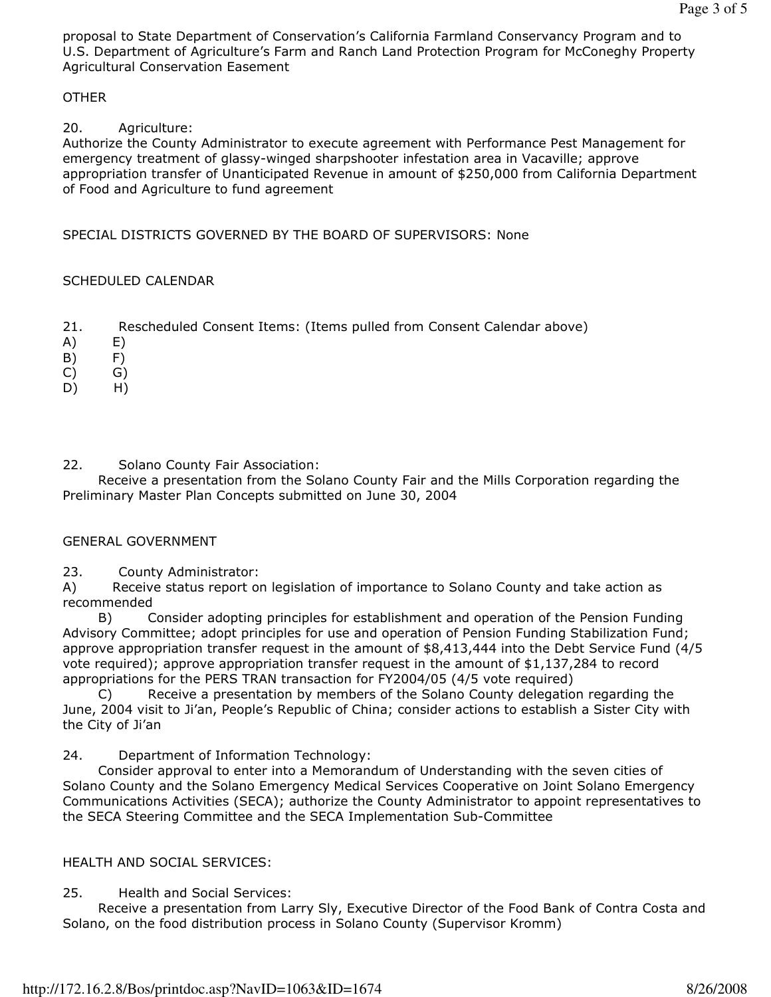proposal to State Department of Conservation's California Farmland Conservancy Program and to U.S. Department of Agriculture's Farm and Ranch Land Protection Program for McConeghy Property Agricultural Conservation Easement

### **OTHER**

### 20. Agriculture:

Authorize the County Administrator to execute agreement with Performance Pest Management for emergency treatment of glassy-winged sharpshooter infestation area in Vacaville; approve appropriation transfer of Unanticipated Revenue in amount of \$250,000 from California Department of Food and Agriculture to fund agreement

### SPECIAL DISTRICTS GOVERNED BY THE BOARD OF SUPERVISORS: None

### SCHEDULED CALENDAR

- 21. Rescheduled Consent Items: (Items pulled from Consent Calendar above)
- A) E)
- B) F)
- C) G)
- D) H)
- 22. Solano County Fair Association:

 Receive a presentation from the Solano County Fair and the Mills Corporation regarding the Preliminary Master Plan Concepts submitted on June 30, 2004

### GENERAL GOVERNMENT

23. County Administrator:

A) Receive status report on legislation of importance to Solano County and take action as recommended

 B) Consider adopting principles for establishment and operation of the Pension Funding Advisory Committee; adopt principles for use and operation of Pension Funding Stabilization Fund; approve appropriation transfer request in the amount of \$8,413,444 into the Debt Service Fund (4/5 vote required); approve appropriation transfer request in the amount of \$1,137,284 to record appropriations for the PERS TRAN transaction for FY2004/05 (4/5 vote required)

 C) Receive a presentation by members of the Solano County delegation regarding the June, 2004 visit to Ji'an, People's Republic of China; consider actions to establish a Sister City with the City of Ji'an

24. Department of Information Technology:

 Consider approval to enter into a Memorandum of Understanding with the seven cities of Solano County and the Solano Emergency Medical Services Cooperative on Joint Solano Emergency Communications Activities (SECA); authorize the County Administrator to appoint representatives to the SECA Steering Committee and the SECA Implementation Sub-Committee

### HEALTH AND SOCIAL SERVICES:

25. Health and Social Services:

 Receive a presentation from Larry Sly, Executive Director of the Food Bank of Contra Costa and Solano, on the food distribution process in Solano County (Supervisor Kromm)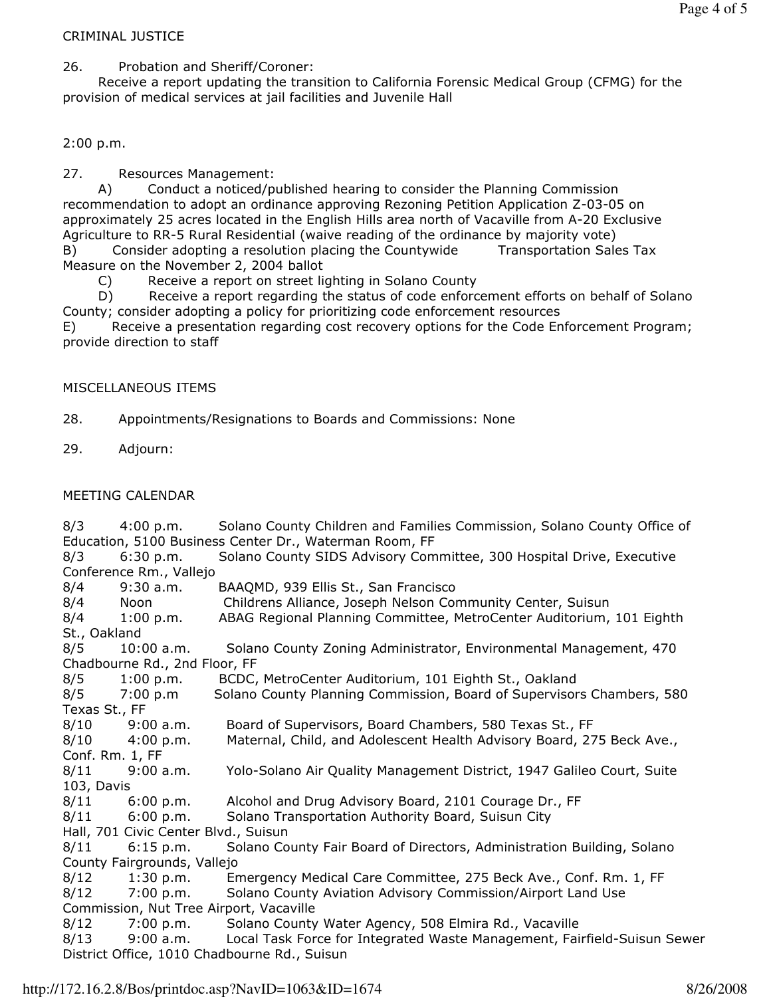## CRIMINAL JUSTICE

26. Probation and Sheriff/Coroner:

 Receive a report updating the transition to California Forensic Medical Group (CFMG) for the provision of medical services at jail facilities and Juvenile Hall

# 2:00 p.m.

27. Resources Management:

 A) Conduct a noticed/published hearing to consider the Planning Commission recommendation to adopt an ordinance approving Rezoning Petition Application Z-03-05 on approximately 25 acres located in the English Hills area north of Vacaville from A-20 Exclusive Agriculture to RR-5 Rural Residential (waive reading of the ordinance by majority vote) B) Consider adopting a resolution placing the Countywide Transportation Sales Tax Measure on the November 2, 2004 ballot

C) Receive a report on street lighting in Solano County

 D) Receive a report regarding the status of code enforcement efforts on behalf of Solano County; consider adopting a policy for prioritizing code enforcement resources

E) Receive a presentation regarding cost recovery options for the Code Enforcement Program; provide direction to staff

### MISCELLANEOUS ITEMS

28. Appointments/Resignations to Boards and Commissions: None

29. Adjourn:

### MEETING CALENDAR

8/3 4:00 p.m. Solano County Children and Families Commission, Solano County Office of Education, 5100 Business Center Dr., Waterman Room, FF 8/3 6:30 p.m. Solano County SIDS Advisory Committee, 300 Hospital Drive, Executive Conference Rm., Vallejo 8/4 9:30 a.m. BAAQMD, 939 Ellis St., San Francisco 8/4 Noon Childrens Alliance, Joseph Nelson Community Center, Suisun 8/4 1:00 p.m. ABAG Regional Planning Committee, MetroCenter Auditorium, 101 Eighth St., Oakland 8/5 10:00 a.m. Solano County Zoning Administrator, Environmental Management, 470 Chadbourne Rd., 2nd Floor, FF 8/5 1:00 p.m. BCDC, MetroCenter Auditorium, 101 Eighth St., Oakland 8/5 7:00 p.m Solano County Planning Commission, Board of Supervisors Chambers, 580 Texas St., FF 8/10 9:00 a.m. Board of Supervisors, Board Chambers, 580 Texas St., FF 8/10 4:00 p.m. Maternal, Child, and Adolescent Health Advisory Board, 275 Beck Ave., Conf. Rm. 1, FF 8/11 9:00 a.m. Yolo-Solano Air Quality Management District, 1947 Galileo Court, Suite 103, Davis 8/11 6:00 p.m. Alcohol and Drug Advisory Board, 2101 Courage Dr., FF 8/11 6:00 p.m. Solano Transportation Authority Board, Suisun City Hall, 701 Civic Center Blvd., Suisun 8/11 6:15 p.m. Solano County Fair Board of Directors, Administration Building, Solano County Fairgrounds, Vallejo 8/12 1:30 p.m. Emergency Medical Care Committee, 275 Beck Ave., Conf. Rm. 1, FF 8/12 7:00 p.m. Solano County Aviation Advisory Commission/Airport Land Use Commission, Nut Tree Airport, Vacaville 8/12 7:00 p.m. Solano County Water Agency, 508 Elmira Rd., Vacaville 8/13 9:00 a.m. Local Task Force for Integrated Waste Management, Fairfield-Suisun Sewer District Office, 1010 Chadbourne Rd., Suisun